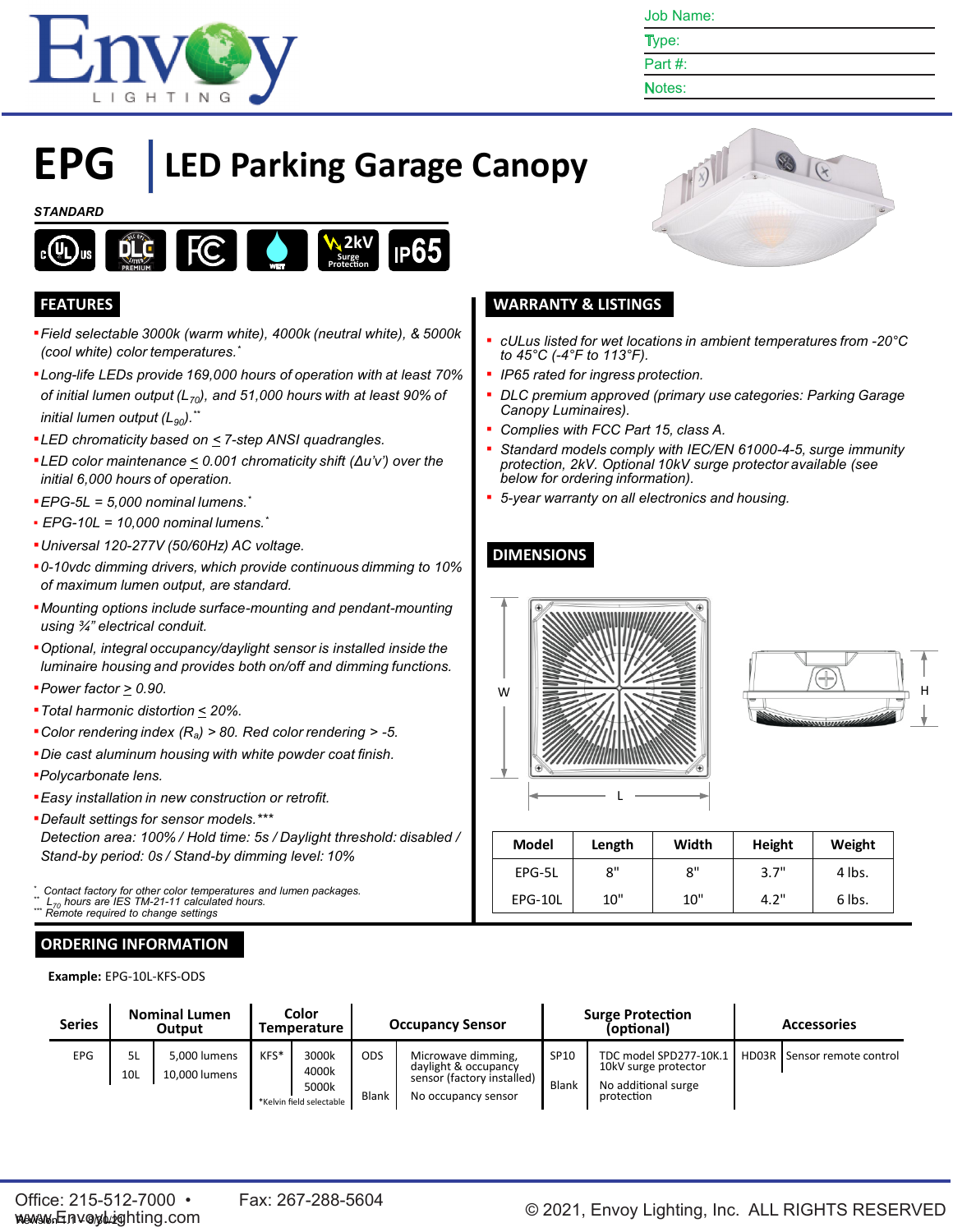

Job Name:

| ٠ | ٠ |
|---|---|
|   |   |

# Notes:

# **EPG LED Parking Garage Canopy**

#### *STANDARD*



- ▪*Field selectable 3000k (warm white), 4000k (neutral white), & 5000k (cool white) color temperatures. \**
- ▪*Long-life LEDs provide 169,000 hours of operation with at least 70% of initial lumen output (L70), and 51,000 hours with at least 90% of initial lumen output* (L<sub>90</sub>).<sup>\*\*</sup>
- ▪*LED chromaticity based on < 7-step ANSI quadrangles.*
- ▪*LED color maintenance < 0.001 chromaticity shift (Δu'v') over the initial 6,000 hours of operation.*
- ▪*EPG-5L = 5,000 nominal lumens. \**
- *EPG-10L = 10,000 nominal lumens. \**
- ▪*Universal 120-277V (50/60Hz) AC voltage.*
- ▪*0-10vdc dimming drivers, which provide continuous dimming to 10% of maximum lumen output, are standard.*
- ▪*Mounting options include surface-mounting and pendant-mounting using ¾" electrical conduit.*
- ▪*Optional, integral occupancy/daylight sensor is installed inside the luminaire housing and provides both on/off and dimming functions.*
- ▪*Power factor > 0.90.*
- ▪*Total harmonic distortion < 20%.*
- ▪*Color rendering index (Ra) > 80. Red color rendering > -5.*
- ▪*Die cast aluminum housing with white powder coat finish.*
- ▪*Polycarbonate lens.*
- ▪*Easy installation in new construction or retrofit.*
- ▪*Default settings for sensor models.\*\*\* Detection area: 100% / Hold time: 5s / Daylight threshold: disabled / Stand-by period: 0s / Stand-by dimming level: 10%*

*\* Contact factory for other color temperatures and lumen packages. \*\* L<sup>70</sup> hours are IES TM-21-11 calculated hours.*

 $R$ <sup>emote</sup> required to change settings

## **ORDERING INFORMATION**

**Example:** EPG-10L-KFS-ODS



## **FEATURES WARRANTY & LISTINGS**

- *cULus listed for wet locations in ambient temperatures from -20°C to 45°C (-4°F to 113°F).*
- *IP65 rated for ingress protection.*
- *DLC premium approved (primary use categories: Parking Garage Canopy Luminaires).*
- *Complies with FCC Part 15, class A.*
- *Standard models comply with IEC/EN 61000-4-5, surge immunity protection, 2kV. Optional 10kV surge protector available (see below for ordering information).*
- *5-year warranty on all electronics and housing.*

## **DIMENSIONS**





| <b>Model</b> | Length | Width | Height | Weight |
|--------------|--------|-------|--------|--------|
| EPG-5L       | 8"     | 8"    | 3.7"   | 4 lbs. |
| EPG-10L      | 10"    | 10"   | 4.2"   | 6 lbs. |

| Series     |           | <b>Nominal Lumen</b><br>Output |      | Color<br>Temperature                                |                     | <b>Surge Protection</b><br>(optional)                                                           |                      | <b>Occupancy Sensor</b>                                                             |                               | <b>Accessories</b> |
|------------|-----------|--------------------------------|------|-----------------------------------------------------|---------------------|-------------------------------------------------------------------------------------------------|----------------------|-------------------------------------------------------------------------------------|-------------------------------|--------------------|
| <b>EPG</b> | 5L<br>10L | 5,000 lumens<br>10.000 lumens  | KFS* | 3000k<br>4000k<br>5000k<br>*Kelvin field selectable | <b>ODS</b><br>Blank | Microwave dimming,<br>daylight & occupancy<br>sensor (factory installed)<br>No occupancy sensor | SP10<br><b>Blank</b> | TDC model SPD277-10K.1<br>10kV surge protector<br>No additional surge<br>protection | HD03R   Sensor remote control |                    |